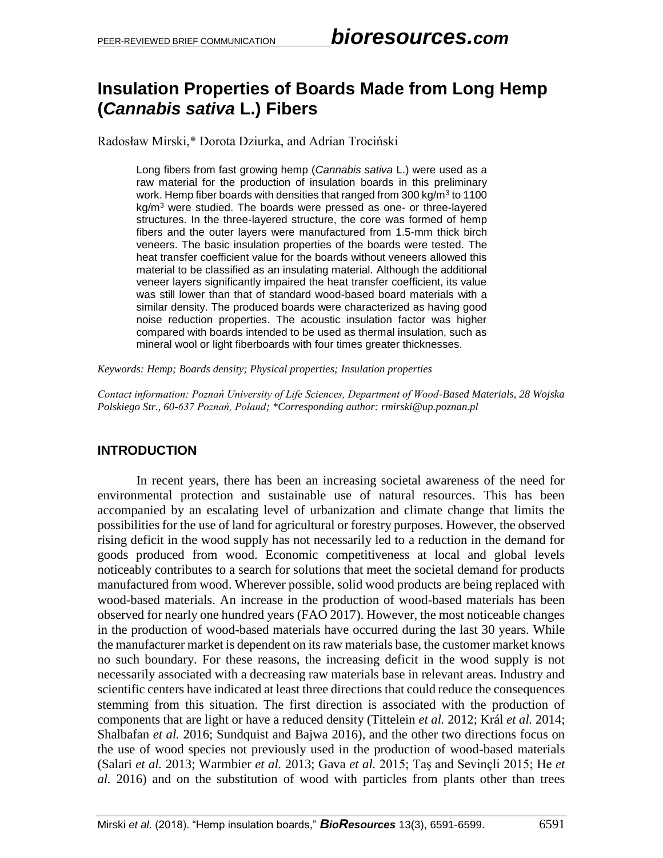### **Insulation Properties of Boards Made from Long Hemp (***Cannabis sativa* **L.) Fibers**

Radosław Mirski,\* Dorota Dziurka, and Adrian Trociński

Long fibers from fast growing hemp (*Cannabis sativa* L.) were used as a raw material for the production of insulation boards in this preliminary work. Hemp fiber boards with densities that ranged from 300 kg/m<sup>3</sup> to 1100 kg/m<sup>3</sup> were studied. The boards were pressed as one- or three-layered structures. In the three-layered structure, the core was formed of hemp fibers and the outer layers were manufactured from 1.5-mm thick birch veneers. The basic insulation properties of the boards were tested. The heat transfer coefficient value for the boards without veneers allowed this material to be classified as an insulating material. Although the additional veneer layers significantly impaired the heat transfer coefficient, its value was still lower than that of standard wood-based board materials with a similar density. The produced boards were characterized as having good noise reduction properties. The acoustic insulation factor was higher compared with boards intended to be used as thermal insulation, such as mineral wool or light fiberboards with four times greater thicknesses.

*Keywords: Hemp; Boards density; Physical properties; Insulation properties*

*Contact information: Poznań University of Life Sciences, Department of Wood-Based Materials, 28 Wojska Polskiego Str., 60-637 Poznań, Poland; \*Corresponding author: rmirski@up.poznan.pl*

### **INTRODUCTION**

In recent years, there has been an increasing societal awareness of the need for environmental protection and sustainable use of natural resources. This has been accompanied by an escalating level of urbanization and climate change that limits the possibilities for the use of land for agricultural or forestry purposes. However, the observed rising deficit in the wood supply has not necessarily led to a reduction in the demand for goods produced from wood. Economic competitiveness at local and global levels noticeably contributes to a search for solutions that meet the societal demand for products manufactured from wood. Wherever possible, solid wood products are being replaced with wood-based materials. An increase in the production of wood-based materials has been observed for nearly one hundred years (FAO 2017). However, the most noticeable changes in the production of wood-based materials have occurred during the last 30 years. While the manufacturer market is dependent on its raw materials base, the customer market knows no such boundary. For these reasons, the increasing deficit in the wood supply is not necessarily associated with a decreasing raw materials base in relevant areas. Industry and scientific centers have indicated at least three directions that could reduce the consequences stemming from this situation. The first direction is associated with the production of components that are light or have a reduced density (Tittelein *et al.* 2012; Král *et al.* 2014; Shalbafan *et al.* 2016; Sundquist and Bajwa 2016), and the other two directions focus on the use of wood species not previously used in the production of wood-based materials (Salari *et al.* 2013; Warmbier *et al.* 2013; Gava *et al.* 2015; Taş and Sevinçli 2015; He *et al.* 2016) and on the substitution of wood with particles from plants other than trees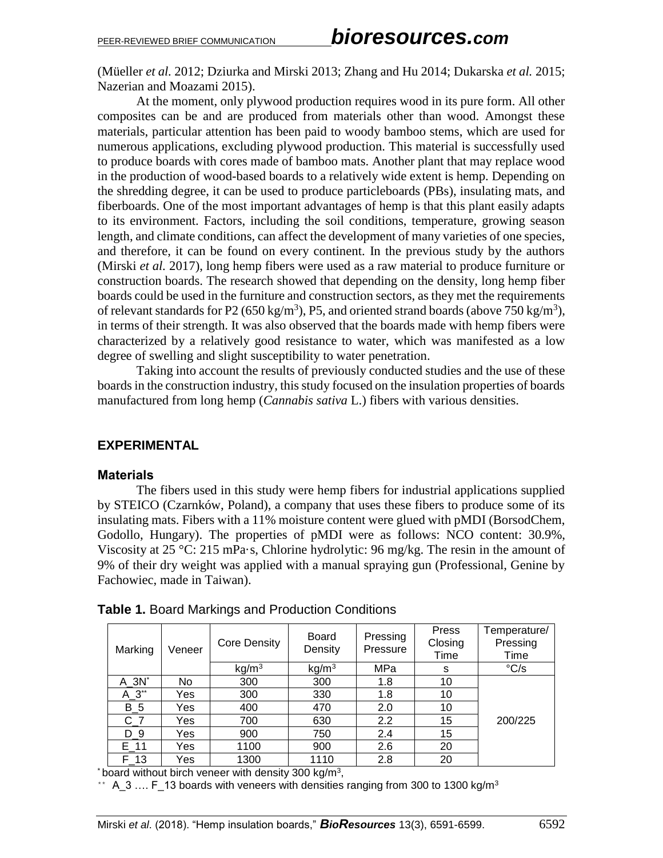(Müeller *et al.* 2012; Dziurka and Mirski 2013; Zhang and Hu 2014; Dukarska *et al.* 2015; Nazerian and Moazami 2015).

At the moment, only plywood production requires wood in its pure form. All other composites can be and are produced from materials other than wood. Amongst these materials, particular attention has been paid to woody bamboo stems, which are used for numerous applications, excluding plywood production. This material is successfully used to produce boards with cores made of bamboo mats. Another plant that may replace wood in the production of wood-based boards to a relatively wide extent is hemp. Depending on the shredding degree, it can be used to produce particleboards (PBs), insulating mats, and fiberboards. One of the most important advantages of hemp is that this plant easily adapts to its environment. Factors, including the soil conditions, temperature, growing season length, and climate conditions, can affect the development of many varieties of one species, and therefore, it can be found on every continent. In the previous study by the authors (Mirski *et al.* 2017), long hemp fibers were used as a raw material to produce furniture or construction boards. The research showed that depending on the density, long hemp fiber boards could be used in the furniture and construction sectors, as they met the requirements of relevant standards for P2 (650 kg/m<sup>3</sup>), P5, and oriented strand boards (above 750 kg/m<sup>3</sup>), in terms of their strength. It was also observed that the boards made with hemp fibers were characterized by a relatively good resistance to water, which was manifested as a low degree of swelling and slight susceptibility to water penetration.

Taking into account the results of previously conducted studies and the use of these boards in the construction industry, this study focused on the insulation properties of boards manufactured from long hemp (*Cannabis sativa* L.) fibers with various densities.

### **EXPERIMENTAL**

#### **Materials**

The fibers used in this study were hemp fibers for industrial applications supplied by STEICO (Czarnków, Poland), a company that uses these fibers to produce some of its insulating mats. Fibers with a 11% moisture content were glued with pMDI (BorsodChem, Godollo, Hungary). The properties of pMDI were as follows: NCO content: 30.9%, Viscosity at 25 °C: 215 mPa·s, Chlorine hydrolytic: 96 mg/kg. The resin in the amount of 9% of their dry weight was applied with a manual spraying gun (Professional, Genine by Fachowiec, made in Taiwan).

| Marking  | Veneer | Core Density      | Board<br>Density  | Pressing<br>Pressure | Press<br>Closing<br>Time | Temperature/<br>Pressing<br>Time |
|----------|--------|-------------------|-------------------|----------------------|--------------------------|----------------------------------|
|          |        | kg/m <sup>3</sup> | kg/m <sup>3</sup> | MPa                  | s                        | $\mathrm{^{\circ}C/s}$           |
| $A_3N^*$ | No     | 300               | 300               | 1.8                  | 10                       |                                  |
| $A_3^*$  | Yes    | 300               | 330               | 1.8                  | 10                       |                                  |
| $B_5$    | Yes    | 400               | 470               | 2.0                  | 10                       |                                  |
| $C_7$    | Yes    | 700               | 630               | 2.2                  | 15                       | 200/225                          |
| $D_9$    | Yes    | 900               | 750               | 2.4                  | 15                       |                                  |
| E 11     | Yes    | 1100              | 900               | 2.6                  | 20                       |                                  |
| F 13     | Yes    | 1300              | 1110              | 2.8                  | 20                       |                                  |

**Table 1.** Board Markings and Production Conditions

\* board without birch veneer with density 300 kg/m<sup>3</sup>,

\*\* A\_3 ....  $F_1$ 13 boards with veneers with densities ranging from 300 to 1300 kg/m<sup>3</sup>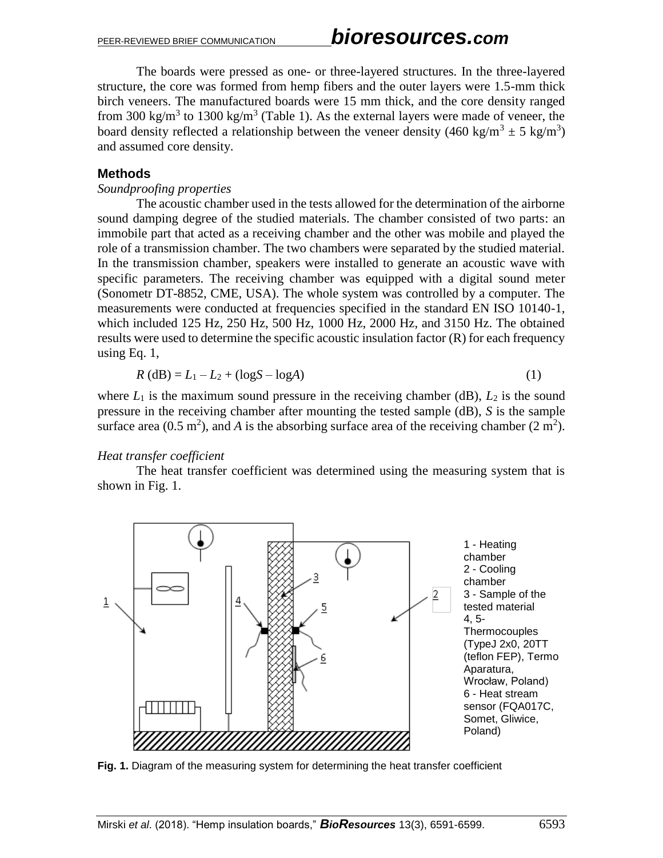The boards were pressed as one- or three-layered structures. In the three-layered structure, the core was formed from hemp fibers and the outer layers were 1.5-mm thick birch veneers. The manufactured boards were 15 mm thick, and the core density ranged from 300 kg/m<sup>3</sup> to 1300 kg/m<sup>3</sup> (Table 1). As the external layers were made of veneer, the board density reflected a relationship between the veneer density (460 kg/m<sup>3</sup>  $\pm$  5 kg/m<sup>3</sup>) and assumed core density.

### **Methods**

#### *Soundproofing properties*

The acoustic chamber used in the tests allowed for the determination of the airborne sound damping degree of the studied materials. The chamber consisted of two parts: an immobile part that acted as a receiving chamber and the other was mobile and played the role of a transmission chamber. The two chambers were separated by the studied material. In the transmission chamber, speakers were installed to generate an acoustic wave with specific parameters. The receiving chamber was equipped with a digital sound meter (Sonometr DT-8852, CME, USA). The whole system was controlled by a computer. The measurements were conducted at frequencies specified in the standard EN ISO 10140-1, which included 125 Hz, 250 Hz, 500 Hz, 1000 Hz, 2000 Hz, and 3150 Hz. The obtained results were used to determine the specific acoustic insulation factor (R) for each frequency using Eq. 1,

$$
R(dB) = L_1 - L_2 + (\log S - \log A)
$$
 (1)

where  $L_1$  is the maximum sound pressure in the receiving chamber (dB),  $L_2$  is the sound pressure in the receiving chamber after mounting the tested sample (dB), *S* is the sample surface area  $(0.5 \text{ m}^2)$ , and *A* is the absorbing surface area of the receiving chamber  $(2 \text{ m}^2)$ .

#### *Heat transfer coefficient*

The heat transfer coefficient was determined using the measuring system that is shown in Fig. 1.



**Fig. 1.** Diagram of the measuring system for determining the heat transfer coefficient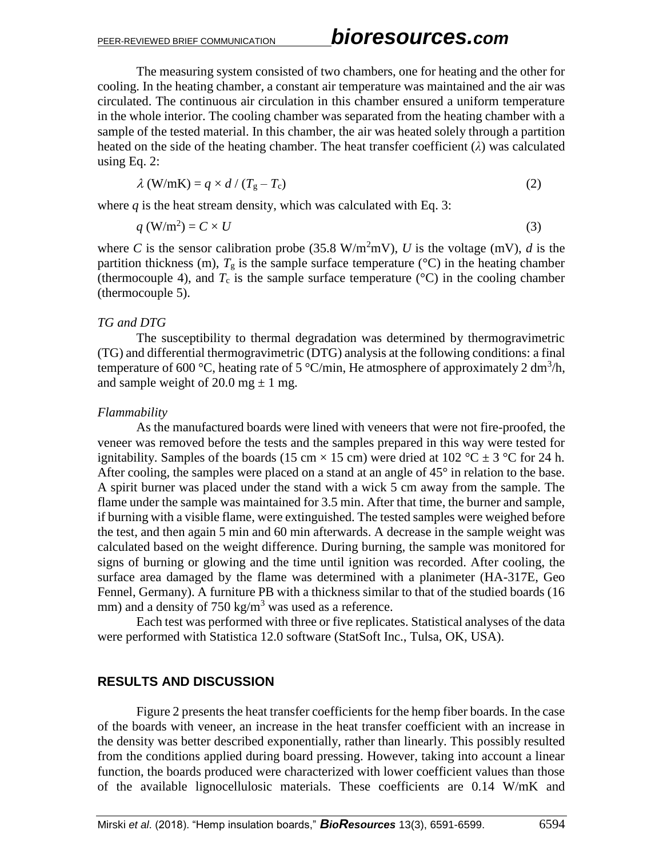The measuring system consisted of two chambers, one for heating and the other for cooling. In the heating chamber, a constant air temperature was maintained and the air was circulated. The continuous air circulation in this chamber ensured a uniform temperature in the whole interior. The cooling chamber was separated from the heating chamber with a sample of the tested material. In this chamber, the air was heated solely through a partition heated on the side of the heating chamber. The heat transfer coefficient (*λ*) was calculated using Eq. 2:

$$
\lambda \text{ (W/mK)} = q \times d / (T_g - T_c) \tag{2}
$$

where  $q$  is the heat stream density, which was calculated with Eq. 3:

$$
q\left(\mathrm{W/m^2}\right) = C \times U\tag{3}
$$

where *C* is the sensor calibration probe (35.8 W/m<sup>2</sup>mV), *U* is the voltage (mV), *d* is the partition thickness (m),  $T_g$  is the sample surface temperature ( ${}^{\circ}$ C) in the heating chamber (thermocouple 4), and  $T_c$  is the sample surface temperature ( $\degree$ C) in the cooling chamber (thermocouple 5).

#### *TG and DTG*

The susceptibility to thermal degradation was determined by thermogravimetric (TG) and differential thermogravimetric (DTG) analysis at the following conditions: a final temperature of 600 °C, heating rate of 5 °C/min, He atmosphere of approximately 2 dm<sup>3</sup>/h, and sample weight of 20.0 mg  $\pm$  1 mg.

#### *Flammability*

As the manufactured boards were lined with veneers that were not fire-proofed, the veneer was removed before the tests and the samples prepared in this way were tested for ignitability. Samples of the boards (15 cm  $\times$  15 cm) were dried at 102 °C  $\pm$  3 °C for 24 h. After cooling, the samples were placed on a stand at an angle of  $45^{\circ}$  in relation to the base. A spirit burner was placed under the stand with a wick 5 cm away from the sample. The flame under the sample was maintained for 3.5 min. After that time, the burner and sample, if burning with a visible flame, were extinguished. The tested samples were weighed before the test, and then again 5 min and 60 min afterwards. A decrease in the sample weight was calculated based on the weight difference. During burning, the sample was monitored for signs of burning or glowing and the time until ignition was recorded. After cooling, the surface area damaged by the flame was determined with a planimeter (HA-317E, Geo Fennel, Germany). A furniture PB with a thickness similar to that of the studied boards (16 mm) and a density of 750 kg/m<sup>3</sup> was used as a reference.

Each test was performed with three or five replicates. Statistical analyses of the data were performed with Statistica 12.0 software (StatSoft Inc., Tulsa, OK, USA).

#### **RESULTS AND DISCUSSION**

Figure 2 presents the heat transfer coefficients for the hemp fiber boards. In the case of the boards with veneer, an increase in the heat transfer coefficient with an increase in the density was better described exponentially, rather than linearly. This possibly resulted from the conditions applied during board pressing. However, taking into account a linear function, the boards produced were characterized with lower coefficient values than those of the available lignocellulosic materials. These coefficients are 0.14 W/mK and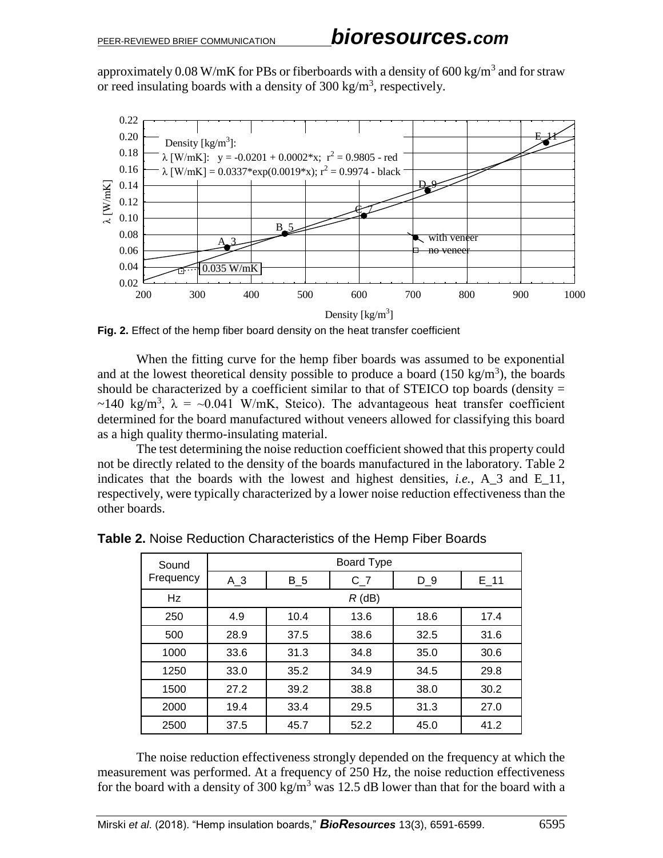approximately 0.08 W/mK for PBs or fiberboards with a density of 600 kg/m<sup>3</sup> and for straw or reed insulating boards with a density of  $300 \text{ kg/m}^3$ , respectively.



**Fig. 2.** Effect of the hemp fiber board density on the heat transfer coefficient

When the fitting curve for the hemp fiber boards was assumed to be exponential and at the lowest theoretical density possible to produce a board  $(150 \text{ kg/m}^3)$ , the boards should be characterized by a coefficient similar to that of STEICO top boards (density  $=$ ~140 kg/m<sup>3</sup>,  $\lambda = -0.041$  W/mK, Steico). The advantageous heat transfer coefficient determined for the board manufactured without veneers allowed for classifying this board as a high quality thermo-insulating material.

The test determining the noise reduction coefficient showed that this property could not be directly related to the density of the boards manufactured in the laboratory. Table 2 indicates that the boards with the lowest and highest densities, *i.e.*, A\_3 and E\_11, respectively, were typically characterized by a lower noise reduction effectiveness than the other boards.

| Sound     | <b>Board Type</b> |       |       |       |          |  |  |
|-----------|-------------------|-------|-------|-------|----------|--|--|
| Frequency | $A_3$             | $B_5$ | $C_7$ | $D_9$ | $E_{11}$ |  |  |
| Hz        | $R$ (dB)          |       |       |       |          |  |  |
| 250       | 4.9               | 10.4  | 13.6  | 18.6  | 17.4     |  |  |
| 500       | 28.9              | 37.5  | 38.6  | 32.5  | 31.6     |  |  |
| 1000      | 33.6              | 31.3  | 34.8  | 35.0  | 30.6     |  |  |
| 1250      | 33.0              | 35.2  | 34.9  | 34.5  | 29.8     |  |  |
| 1500      | 27.2              | 39.2  | 38.8  | 38.0  | 30.2     |  |  |
| 2000      | 19.4              | 33.4  | 29.5  | 31.3  | 27.0     |  |  |
| 2500      | 37.5              | 45.7  | 52.2  | 45.0  | 41.2     |  |  |

**Table 2.** Noise Reduction Characteristics of the Hemp Fiber Boards

The noise reduction effectiveness strongly depended on the frequency at which the measurement was performed. At a frequency of 250 Hz, the noise reduction effectiveness for the board with a density of 300 kg/m<sup>3</sup> was 12.5 dB lower than that for the board with a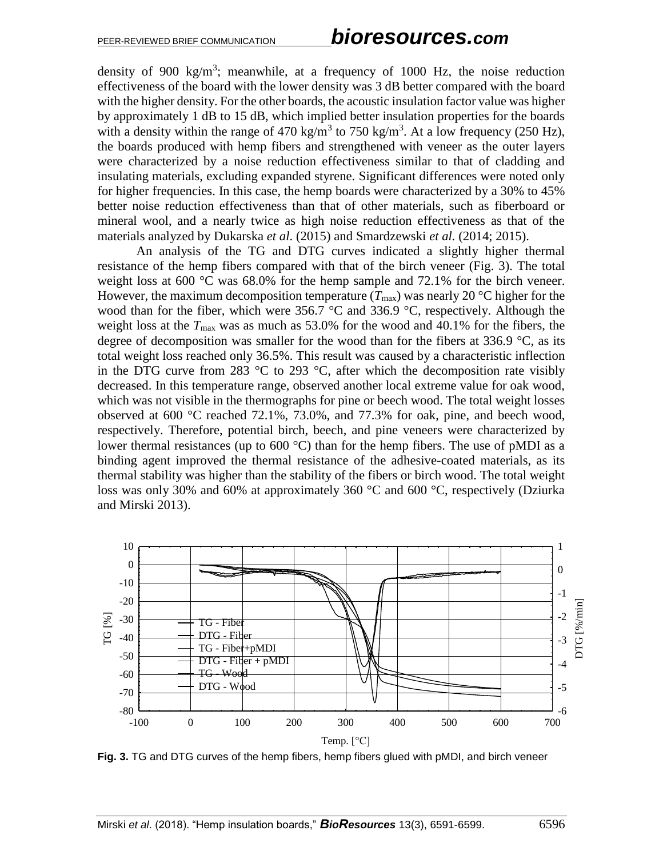density of 900 kg/m<sup>3</sup>; meanwhile, at a frequency of 1000 Hz, the noise reduction effectiveness of the board with the lower density was 3 dB better compared with the board with the higher density. For the other boards, the acoustic insulation factor value was higher by approximately 1 dB to 15 dB, which implied better insulation properties for the boards with a density within the range of 470 kg/m<sup>3</sup> to 750 kg/m<sup>3</sup>. At a low frequency (250 Hz), the boards produced with hemp fibers and strengthened with veneer as the outer layers were characterized by a noise reduction effectiveness similar to that of cladding and insulating materials, excluding expanded styrene. Significant differences were noted only for higher frequencies. In this case, the hemp boards were characterized by a 30% to 45% better noise reduction effectiveness than that of other materials, such as fiberboard or mineral wool, and a nearly twice as high noise reduction effectiveness as that of the materials analyzed by Dukarska *et al*. (2015) and Smardzewski *et al.* (2014; 2015).

An analysis of the TG and DTG curves indicated a slightly higher thermal resistance of the hemp fibers compared with that of the birch veneer (Fig. 3). The total weight loss at  $600^{\circ}$ C was  $68.0\%$  for the hemp sample and  $72.1\%$  for the birch veneer. However, the maximum decomposition temperature  $(T_{\text{max}})$  was nearly 20 °C higher for the wood than for the fiber, which were 356.7 °C and 336.9 °C, respectively. Although the weight loss at the  $T_{\text{max}}$  was as much as 53.0% for the wood and 40.1% for the fibers, the degree of decomposition was smaller for the wood than for the fibers at 336.9 °C, as its total weight loss reached only 36.5%. This result was caused by a characteristic inflection in the DTG curve from 283  $\degree$ C to 293  $\degree$ C, after which the decomposition rate visibly decreased. In this temperature range, observed another local extreme value for oak wood, which was not visible in the thermographs for pine or beech wood. The total weight losses observed at 600 °C reached 72.1%, 73.0%, and 77.3% for oak, pine, and beech wood, respectively. Therefore, potential birch, beech, and pine veneers were characterized by lower thermal resistances (up to  $600 \degree C$ ) than for the hemp fibers. The use of pMDI as a binding agent improved the thermal resistance of the adhesive-coated materials, as its thermal stability was higher than the stability of the fibers or birch wood. The total weight loss was only 30% and 60% at approximately 360 °C and 600 °C, respectively (Dziurka and Mirski 2013).



**Fig. 3.** TG and DTG curves of the hemp fibers, hemp fibers glued with pMDI, and birch veneer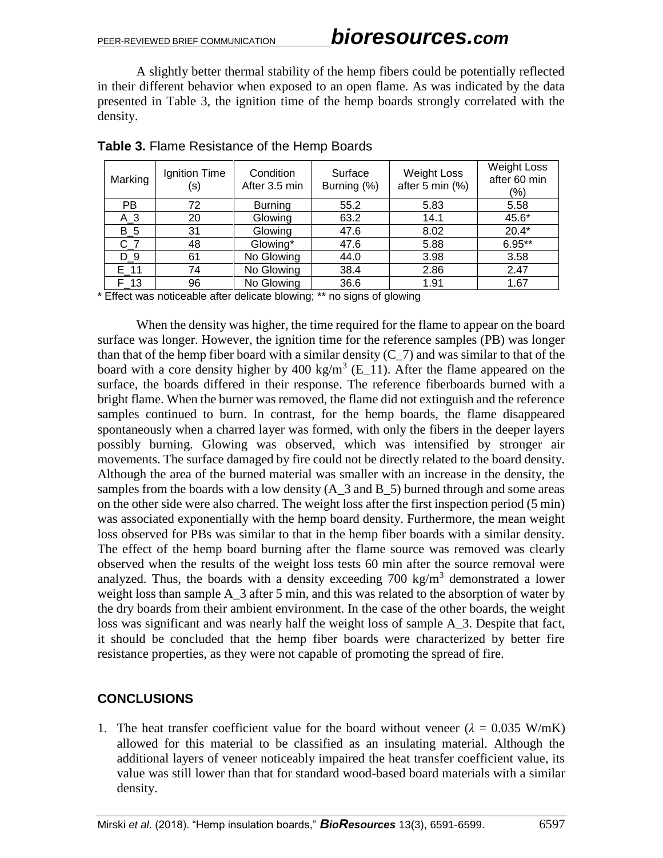A slightly better thermal stability of the hemp fibers could be potentially reflected in their different behavior when exposed to an open flame. As was indicated by the data presented in Table 3, the ignition time of the hemp boards strongly correlated with the density.

| Marking   | Ignition Time<br>(s) | Condition<br>After 3.5 min | Surface<br>Burning (%) | <b>Weight Loss</b><br>after 5 min (%) | <b>Weight Loss</b><br>after 60 min<br>(%) |
|-----------|----------------------|----------------------------|------------------------|---------------------------------------|-------------------------------------------|
| <b>PB</b> | 72                   | <b>Burning</b>             | 55.2                   | 5.83                                  | 5.58                                      |
| $A_3$     | 20                   | Glowing                    | 63.2                   | 14.1                                  | 45.6*                                     |
| $B_5$     | 31                   | Glowing                    | 47.6                   | 8.02                                  | $20.4*$                                   |
| $C_7$     | 48                   | Glowing*                   | 47.6                   | 5.88                                  | $6.95**$                                  |
| D 9       | 61                   | No Glowing                 | 44.0                   | 3.98                                  | 3.58                                      |
| E 11      | 74                   | No Glowing                 | 38.4                   | 2.86                                  | 2.47                                      |
| F 13      | 96                   | No Glowing                 | 36.6                   | 1.91                                  | 1.67                                      |

**Table 3.** Flame Resistance of the Hemp Boards

\* Effect was noticeable after delicate blowing; \*\* no signs of glowing

When the density was higher, the time required for the flame to appear on the board surface was longer. However, the ignition time for the reference samples (PB) was longer than that of the hemp fiber board with a similar density  $(C_7)$  and was similar to that of the board with a core density higher by 400 kg/m<sup>3</sup> (E\_11). After the flame appeared on the surface, the boards differed in their response. The reference fiberboards burned with a bright flame. When the burner was removed, the flame did not extinguish and the reference samples continued to burn. In contrast, for the hemp boards, the flame disappeared spontaneously when a charred layer was formed, with only the fibers in the deeper layers possibly burning. Glowing was observed, which was intensified by stronger air movements. The surface damaged by fire could not be directly related to the board density. Although the area of the burned material was smaller with an increase in the density, the samples from the boards with a low density  $(A_3$  and B  $5)$  burned through and some areas on the other side were also charred. The weight loss after the first inspection period (5 min) was associated exponentially with the hemp board density. Furthermore, the mean weight loss observed for PBs was similar to that in the hemp fiber boards with a similar density. The effect of the hemp board burning after the flame source was removed was clearly observed when the results of the weight loss tests 60 min after the source removal were analyzed. Thus, the boards with a density exceeding  $700 \text{ kg/m}^3$  demonstrated a lower weight loss than sample A  $\overline{3}$  after 5 min, and this was related to the absorption of water by the dry boards from their ambient environment. In the case of the other boards, the weight loss was significant and was nearly half the weight loss of sample A\_3. Despite that fact, it should be concluded that the hemp fiber boards were characterized by better fire resistance properties, as they were not capable of promoting the spread of fire.

### **CONCLUSIONS**

1. The heat transfer coefficient value for the board without veneer  $(\lambda = 0.035 \text{ W/mK})$ allowed for this material to be classified as an insulating material. Although the additional layers of veneer noticeably impaired the heat transfer coefficient value, its value was still lower than that for standard wood-based board materials with a similar density.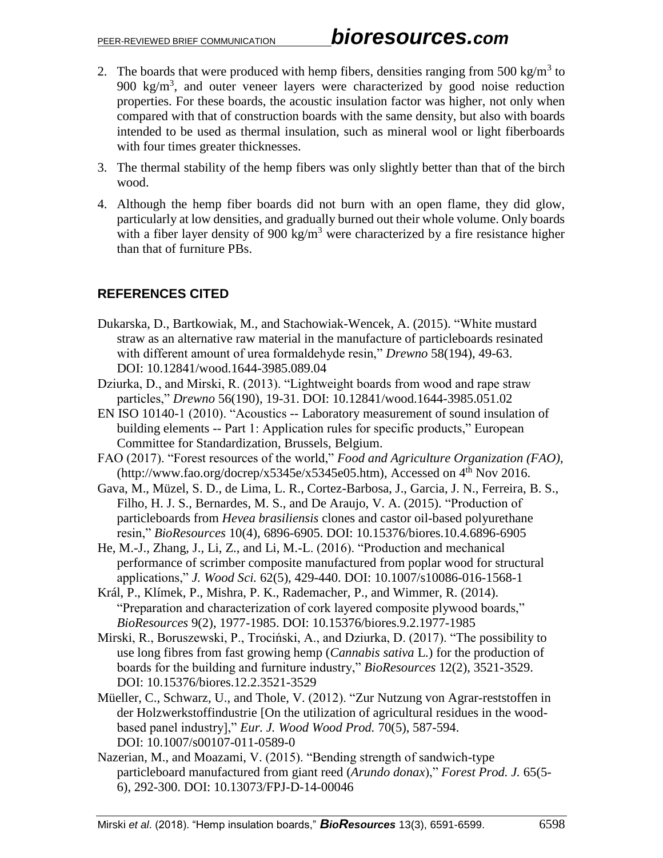- 2. The boards that were produced with hemp fibers, densities ranging from 500 kg/m<sup>3</sup> to 900 kg/m<sup>3</sup> , and outer veneer layers were characterized by good noise reduction properties. For these boards, the acoustic insulation factor was higher, not only when compared with that of construction boards with the same density, but also with boards intended to be used as thermal insulation, such as mineral wool or light fiberboards with four times greater thicknesses.
- 3. The thermal stability of the hemp fibers was only slightly better than that of the birch wood.
- 4. Although the hemp fiber boards did not burn with an open flame, they did glow, particularly at low densities, and gradually burned out their whole volume. Only boards with a fiber layer density of 900 kg/m<sup>3</sup> were characterized by a fire resistance higher than that of furniture PBs.

### **REFERENCES CITED**

- Dukarska, D., Bartkowiak, M., and Stachowiak-Wencek, A. (2015). "White mustard straw as an alternative raw material in the manufacture of particleboards resinated with different amount of urea formaldehyde resin," *Drewno* 58(194), 49-63. DOI: 10.12841/wood.1644-3985.089.04
- Dziurka, D., and Mirski, R. (2013). "Lightweight boards from wood and rape straw particles," *Drewno* 56(190), 19-31. DOI: 10.12841/wood.1644-3985.051.02
- EN ISO 10140-1 (2010). "Acoustics -- Laboratory measurement of sound insulation of building elements -- Part 1: Application rules for specific products," European Committee for Standardization, Brussels, Belgium.
- FAO (2017). "Forest resources of the world," *Food and Agriculture Organization (FAO)*,  $(\text{http://www.fao.org/docrep/x5345e/x5345e05.htm})$ , Accessed on 4<sup>th</sup> Nov 2016.
- Gava, M., Müzel, S. D., de Lima, L. R., Cortez-Barbosa, J., Garcia, J. N., Ferreira, B. S., Filho, H. J. S., Bernardes, M. S., and De Araujo, V. A. (2015). "Production of particleboards from *Hevea brasiliensis* clones and castor oil-based polyurethane resin," *BioResources* 10(4), 6896-6905. DOI: 10.15376/biores.10.4.6896-6905
- He, M.-J., Zhang, J., Li, Z., and Li, M.-L. (2016). "Production and mechanical performance of scrimber composite manufactured from poplar wood for structural applications," *J. Wood Sci.* 62(5), 429-440. DOI: 10.1007/s10086-016-1568-1
- Král, P., Klímek, P., Mishra, P. K., Rademacher, P., and Wimmer, R. (2014). "Preparation and characterization of cork layered composite plywood boards," *BioResources* 9(2), 1977-1985. DOI: 10.15376/biores.9.2.1977-1985
- Mirski, R., Boruszewski, P., Trociński, A., and Dziurka, D. (2017). "The possibility to use long fibres from fast growing hemp (*Cannabis sativa* L.) for the production of boards for the building and furniture industry," *BioResources* 12(2), 3521-3529. DOI: 10.15376/biores.12.2.3521-3529
- Müeller, C., Schwarz, U., and Thole, V. (2012). "Zur Nutzung von Agrar-reststoffen in der Holzwerkstoffindustrie [On the utilization of agricultural residues in the woodbased panel industry]," *Eur. J. Wood Wood Prod.* 70(5), 587-594. DOI: 10.1007/s00107-011-0589-0
- Nazerian, M., and Moazami, V. (2015). "Bending strength of sandwich-type particleboard manufactured from giant reed (*Arundo donax*)," *Forest Prod. J.* 65(5- 6), 292-300. DOI: 10.13073/FPJ-D-14-00046